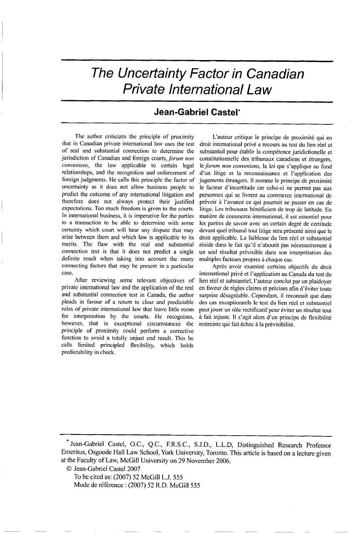*The Uncertainty Factor in Canadian Private International Law*

## Jean-Gabriel Castel\*

The author criticizes the principle of proximity that in Canadian private international law uses the test of real and substantial connection to determine the jurisdiction of Canadian and foreign courts, forum *non conveniens,* the law applicable to certain legal relationships, and the recognition and enforcement of foreign judgments. He calls this principle the factor of uncertainty as it does not allow business people to predict the outcome of any international litigation and therefore does not always protect their justified expectations. Too much freedom is given to the courts. In international business, it is imperative for the parties to a transaction to be able to determine with some certainty which court will hear any dispute that may arise between them and which law is applicable to its merits. The flaw with the real and substantial connection test is that it does not predict a single definite result when taking into account the many connecting factors that may be present in a particular case.

After reviewing some relevant objectives of private international law and the application of the real and substantial connection test in Canada, the author pleads in favour of a return to clear and predictable rules of private international law that leave little room for interpretation by the courts. He recognizes, however, that in exceptional circumstances the principle of proximity could perform a corrective function to avoid a totally unjust end result. This he calls limited principled flexibility, which holds predictability in check.

L'auteur critique le principe de proximité qui en droit international privé a recours au test du lien réel et substantiel pour établir la compétence juridictionelle et constitutionnelle des tribunaux canadiens et étrangers, le forum non conveniens, la loi qui s'applique au fond d'un litige et la reconnaissance et I'application des jugements étrangers. Il nomme le principe de proximité le facteur d'incertitude car celui-ci ne permet pas aux personnes qui se livrent au commerce international de prévoir à l'avance ce qui pourrait se passer en cas de litige. Les tribunaux bénéficient de trop de latitude. En matière de commerce international, il est essentiel pour les parties de savoir avec un certain degré de certitude devant quel tribunal tout litige sera présenté ainsi que le droit applicable. La faiblesse du lien réel et substantiel réside dans le fait qu'il n'aboutit pas nécessairement à un seul résultat prévisible dans son interprétation des multiples facteurs propres à chaque cas.

Après avoir examiné certains objectifs du droit international privé et l'application au Canada du test du lien réel et substantiel, l'auteur conclut par un plaidoyer en faveur de règles claires et précises afin d'éviter toute surprise désagréable. Cependant, il reconnait que dans des cas exceptionnels le test du lien réel et substantiel peut jouer un rôle rectificatif pour éviter un résultat tout **A** fait injuste. **11** s'agit alors d'un principe de flexibilitý restreinte qui fait échec à la prévisibilité.

To be cited as: (2007) 52 McGill L.J. 555 Mode de référence : (2007) 52 R.D. McGill 555

<sup>.</sup>Jean-Gabriel Castel, O.C., Q.C., F.R.S.C., S.J.D., L.L.D, Distinguished Research Professor Emeritus, Osgoode Hall Law School, York University, Toronto. This article is based on a lecture given at the Faculty of Law, McGill University on 29 November 2006.

<sup>©</sup> Jean-Gabriel Castel 2007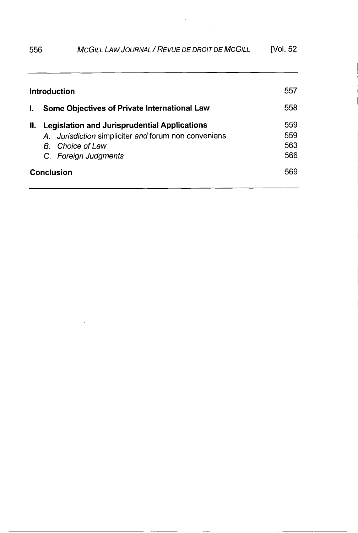# 556 *MCGILL LAW JOURNAL* / *REVUE DE DROIT DE MCGILL* [Vol. 52

| Introduction      |                                                     |                                                      | 557 |
|-------------------|-----------------------------------------------------|------------------------------------------------------|-----|
| L.                |                                                     | Some Objectives of Private International Law         | 558 |
| Ш.                | <b>Legislation and Jurisprudential Applications</b> |                                                      | 559 |
|                   |                                                     | A. Jurisdiction simpliciter and forum non conveniens | 559 |
|                   |                                                     | <b>B</b> Choice of Law                               | 563 |
|                   |                                                     | C. Foreign Judgments                                 | 566 |
| <b>Conclusion</b> |                                                     |                                                      | 569 |

 $\ddot{\phantom{a}}$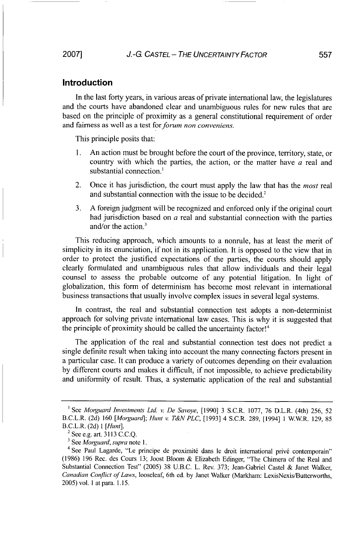#### Introduction

In the last forty years, in various areas of private international law, the legislatures and the courts have abandoned clear and unambiguous rules for new rules that are based on the principle of proximity as a general constitutional requirement of order and fairness as well as a test for *forum non conveniens.*

This principle posits that:

- 1. An action must be brought before the court of the province, territory, state, or country with which the parties, the action, or the matter have  $a$  real and substantial connection.'
- 2. Once it has jurisdiction, the court must apply the law that has the *most* real and substantial connection with the issue to be decided.<sup>2</sup>
- 3. A foreign judgment will be recognized and enforced only if the original court had jurisdiction based on  $a$  real and substantial connection with the parties and/or the action. $3$

This reducing approach, which amounts to a nonrule, has at least the merit of simplicity in its enunciation, if not in its application. It is opposed to the view that in order to protect the justified expectations of the parties, the courts should apply clearly formulated and unambiguous rules that allow individuals and their legal counsel to assess the probable outcome of any potential litigation. In light of globalization, this form of determinism has become most relevant in international business transactions that usually involve complex issues in several legal systems.

In contrast, the real and substantial connection test adopts a non-determinist approach for solving private international law cases. This is why it is suggested that the principle of proximity should be called the uncertainty factor!<sup>4</sup>

The application of the real and substantial connection test does not predict a single definite result when taking into account the many connecting factors present in a particular case. It can produce a variety of outcomes depending on their evaluation by different courts and makes it difficult, if not impossible, to achieve predictability and uniformity of result. Thus, a systematic application of the real and substantial

**<sup>1</sup>** See *Morguard Investments Ltd. v. De Savoye,* [1990] 3 S.C.R. 1077, 76 D.L.R. (4th) 256, 52 B.C.L.R. (2d) 160 *[Morguard]; Hunt v. T&N PLC,* [1993] 4 S.C.R. 289, [1994] 1 W.W.R. 129, 85 B.C.L.R. (2d) *I [Hunt].* 2 See e.g. art. 3113 C.C.Q.

**<sup>3</sup>**See *Motguard, supra* note 1.

<sup>&</sup>lt;sup>4</sup> See Paul Lagarde, "Le principe de proximité dans le droit international privé contemporain" (1986) 196 Rec. des Cours 13; Joost Bloom & Elizabeth Edinger, "The Chimera of the Real and Substantial Connection Test" (2005) **38** U.B.C. L. Rev. 373; Jean-Gabriel Castel & Janet Walker, *Canadian Conflict of Laws,* looseleaf, 6th ed. by Janet Walker (Markham: LexisNexis/Butterworths, 2005) vol. 1 at para. 1.15.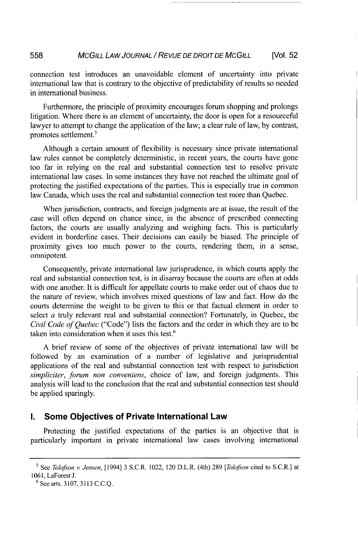connection test introduces an unavoidable element of uncertainty into private international law that is contrary to the objective of predictability of results so needed in international business.

Furthermore, the principle of proximity encourages forum shopping and prolongs litigation. Where there is an element of uncertainty, the door is open for a resourceful lawyer to attempt to change the application of the law; a clear rule of law, by contrast, promotes settlement.5

Although a certain amount of flexibility is necessary since private international law rules cannot be completely deterministic, in recent years, the courts have gone too far in relying on the real and substantial connection test to resolve private international law cases. In some instances they have not reached the ultimate goal of protecting the justified expectations of the parties. This is especially true in common law Canada, which uses the real and substantial connection test more than Quebec.

When jurisdiction, contracts, and foreign judgments are at issue, the result of the case will often depend on chance since, in the absence of prescribed connecting factors, the courts are usually analyzing and weighing facts. This is particularly evident in borderline cases. Their decisions can easily be biased. The principle of proximity gives too much power to the courts, rendering them, in a sense, omnipotent.

Consequently, private international law jurisprudence, in which courts apply the real and substantial connection test, is in disarray because the courts are often at odds with one another. It is difficult for appellate courts to make order out of chaos due to the nature of review, which involves mixed questions of law and fact. How do the courts determine the weight to be given to this or that factual element in order to select a truly relevant real and substantial connection? Fortunately, in Quebec, the *Civil Code of Quebec* ("Code") lists the factors and the order in which they are to be taken into consideration when it uses this test.<sup>6</sup>

A brief review of some of the objectives of private international law will be followed by an examination of a number of legislative and jurisprudential applications of the real and substantial connection test with respect to jurisdiction *simpliciter, forum non conveniens,* choice of law, and foreign judgments. This analysis will lead to the conclusion that the real and substantial connection test should be applied sparingly.

#### **I.** Some Objectives of Private International Law

Protecting the justified expectations of the parties is an objective that is particularly important in private international law cases involving international

**<sup>6</sup>**See arts. 3107, 3113 C.C.Q.

*<sup>5</sup>*See *Tolofson v. Jensen,* [1994] 3 S.C.R. 1022, 120 D.L.R. (4th) 289 *[Tolofson* cited to S.C.R.] at 1061, LaForest J.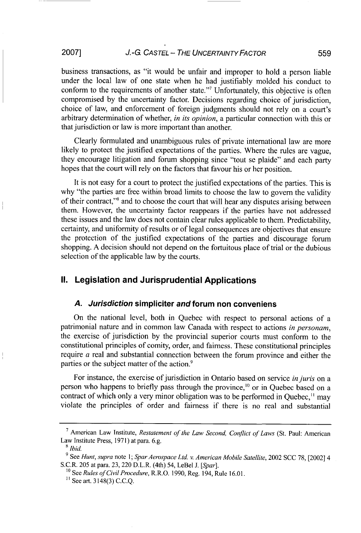# *J.-G CASTEL* - *THE UNCERTAINTY FACTOR* **2007] 559**

business transactions, as "it would be unfair and improper to hold a person liable under the local law of one state when he had justifiably molded his conduct to conform to the requirements of another state."7 Unfortunately, this objective is often compromised by the uncertainty factor. Decisions regarding choice of jurisdiction, choice of law, and enforcement of foreign judgments should not rely on a court's arbitrary determination of whether, *in its opinion,* a particular connection with this or that jurisdiction or law is more important than another.

Clearly formulated and unambiguous rules of private international law are more likely to protect the justified expectations of the parties. Where the rules are vague, they encourage litigation and forum shopping since "tout se plaide" and each party hopes that the court will rely on the factors that favour his or her position.

It is not easy for a court to protect the justified expectations of the parties. This is why "the parties are free within broad limits to choose the law to govern the validity of their contract,"8 and to choose the court that will hear any disputes arising between them. However, the uncertainty factor reappears if the parties have not addressed these issues and the law does not contain clear rules applicable to them. Predictability, certainty, and uniformity of results or of legal consequences are objectives that ensure the protection of the justified expectations of the parties and discourage forum shopping. A decision should not depend on the fortuitous place of trial or the dubious selection of the applicable law by the courts.

#### **1U.** Legislation and Jurisprudential Applications

## *A. Jurisdiction* simpliciter and forum non conveniens

On the national level, both in Quebec with respect to personal actions of a patrimonial nature and in common law Canada with respect to actions *in personam,* the exercise of jurisdiction by the provincial superior courts must conform to the constitutional principles of comity, order, and fairness. These constitutional principles require  $a$  real and substantial connection between the forum province and either the parties or the subject matter of the action.<sup>9</sup>

For instance, the exercise of jurisdiction in Ontario based on service *in juris* on a person who happens to briefly pass through the province,<sup>10</sup> or in Quebec based on a contract of which only a very minor obligation was to be performed in Quebec,<sup>11</sup> may violate the principles of order and fairness if there is no real and substantial

**<sup>7</sup>**American Law Institute, *Restatement of the Law Second, Conflict of Laws* (St. Paul: American Law Institute Press, 1971) at para. 6.g.

*<sup>&</sup>quot; Ibid.*

**<sup>9</sup>** See *Hunt, supra* note 1; *Spar Aerospace Ltd. v. American Mobile Satellite,* 2002 SCC 78, [2002] 4 S.C.R. 205 at para. 23, 220 D.L.R. (4th) 54, LeBel J. *[Spar].*

**<sup>10</sup>** See *Rules of Civil Procedure,* R.R.O. 1990, Reg. 194, Rule 16.01.

**<sup>11</sup>** See art. 3148(3) C.C.Q.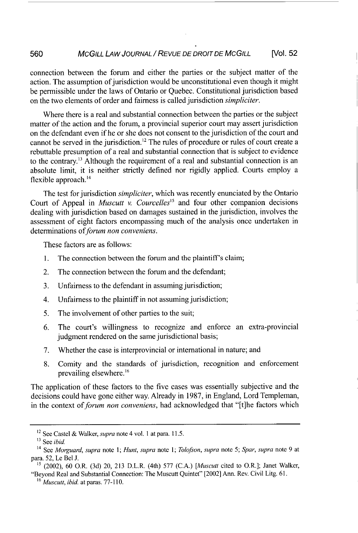connection between the forum and either the parties or the subject matter of the action. The assumption of jurisdiction would be unconstitutional even though it might be permissible under the laws of Ontario or Quebec. Constitutional jurisdiction based on the two elements of order and fairness is called jurisdiction *simpliciter.*

Where there is a real and substantial connection between the parties or the subject matter of the action and the forum, a provincial superior court may assert jurisdiction on the defendant even if he or she does not consent to the jurisdiction of the court and cannot be served in the jurisdiction.<sup>12</sup> The rules of procedure or rules of court create a rebuttable presumption of a real and substantial connection that is subject to evidence to the contrary."3 Although the requirement of a real and substantial connection is an absolute limit, it is neither strictly defined nor rigidly applied. Courts employ a flexible approach.<sup>14</sup>

The test for jurisdiction *simpliciter,* which was recently enunciated by the Ontario Court of Appeal in *Muscutt v. Courcelles"5* and four other companion decisions dealing with jurisdiction based on damages sustained in the jurisdiction, involves the assessment of eight factors encompassing much of the analysis once undertaken in determinations of *forum non conveniens*.

These factors are as follows:

- 1. The connection between the forum and the plaintiff's claim;
- 2. The connection between the forum and the defendant;
- 3. Unfairness to the defendant in assuming jurisdiction;
- 4. Unfairness to the plaintiff in not assuming jurisdiction;
- *5.* The involvement of other parties to the suit;
- 6. The court's willingness to recognize and enforce an extra-provincial judgment rendered on the same jurisdictional basis;
- 7. Whether the case is interprovincial or international in nature; and
- 8. Comity and the standards of jurisdiction, recognition and enforcement prevailing elsewhere.<sup>16</sup>

The application of these factors to the five cases was essentially subjective and the decisions could have gone either way. Already in 1987, in England, Lord Templeman, in the context of *forum non conveniens,* had acknowledged that "[t]he factors which

<sup>12</sup> See Castel & Walker, *supra* note 4 vol. 1 at para. 11.5.

<sup>&</sup>lt;sup>13</sup> See *ibid*.

<sup>14</sup> See *Morguard, supra* note 1; *Hunt, supra* note *1; Tolofson, supra* note 5; *Spar, supra* note 9 at para. 52, Le Bel J.

*<sup>15</sup>* (2002), 60 O.R. (3d) 20, 213 D.L.R. (4th) 577 (C.A.) *[Muscutt* cited to O.R.]; Janet Walker, "Beyond Real and Substantial Connection: The Muscutt Quintet" [2002] Ann. Rev. Civil Litg. 61.

**<sup>16</sup>** *Muscutt, ibid.* at paras. 77-110.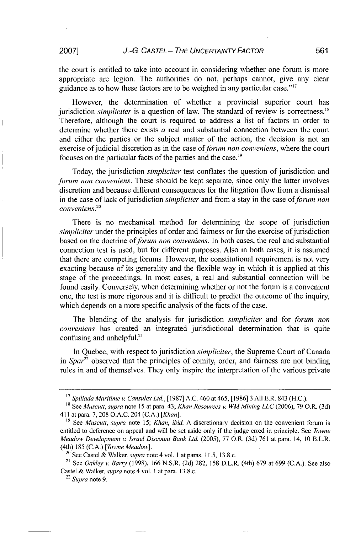the court is entitled to take into account in considering whether one forum is more appropriate are legion. The authorities do not, perhaps cannot, give any clear guidance as to how these factors are to be weighed in any particular case."<sup>17</sup>

However, the determination of whether a provincial superior court has jurisdiction *simpliciter* is a question of law. The standard of review is correctness."' Therefore, although the court is required to address a list of factors in order to determine whether there exists  $\alpha$  real and substantial connection between the court and either the parties or the subject matter of the action, the decision is not an exercise of judicial discretion as in the case of *forum non conveniens,* where the court focuses on the particular facts of the parties and the case.<sup>19</sup>

Today, the jurisdiction *simpliciter* test conflates the question of jurisdiction and *forum non conveniens.* These should be kept separate, since only the latter involves discretion and because different consequences for the litigation flow from a dismissal in the case of lack of jurisdiction *simpliciter* and from a stay in the case *offorum non conveniens."*

There is no mechanical method for determining the scope of jurisdiction *simpliciter* under the principles of order and fairness or for the exercise of jurisdiction based on the doctrine of *forum non conveniens.* In both cases, the real and substantial connection test is used, but for different purposes. Also in both cases, it is assumed that there are competing forums. However, the constitutional requirement is not very exacting because of its generality and the flexible way in which it is applied at this stage of the proceedings. In most cases, a real and substantial connection will be found easily. Conversely, when determining whether or not the forum is a convenient one, the test is more rigorous and it is difficult to predict the outcome of the inquiry, which depends on a more specific analysis of the facts of the case.

The blending of the analysis for jurisdiction *simpliciter* and for *forum non conveniens* has created an integrated jurisdictional determination that is quite confusing and unhelpful.<sup>21</sup>

In Quebec, with respect to jurisdiction *simpliciter,* the Supreme Court of Canada in *Spar"2* observed that the principles of comity, order, and fairness are not binding rules in and of themselves. They only inspire the interpretation of the various private

<sup>&</sup>lt;sup>17</sup> *Spiliada Maritime v. Cansulex Ltd.*, [1987] A.C. 460 at 465, [1986] 3 All E.R. 843 (H.C.). <sup>18</sup> See *Muscutt, supra* note 15 at para. 43; *Khan Resources v. WM Mining LLC* (2006), 79 O.R. (3d)

<sup>411</sup> at para. 7, 208 O.A.C. 204 (C.A.) *[Khan].* **<sup>19</sup>**See *Muscutt, supra* note 15; *Khan, ibid.* A discretionary decision on the convenient forum is

entitled to deference on appeal and will be set aside only if the judge erred in principle. See *Towne Meadow Development v. Israel Discount Bank Ltd.* (2005), 77 O.R. (3d) 761 at para. 14, 10 B.L.R. (4th) 185 (C.A.) *[Towne Meadow].* 20 See Castel & Walker, *supra* note 4 vol. **I** at paras. 11.5, 13.8.c.

<sup>21</sup> See *Oakley v. Barry* (1998), 166 N.S.R. (2d) 282, 158 D.L.R. (4th) 679 at 699 (C.A.). See also Castel & Walker, *supra* note 4 vol. 1 at para. 13.8.c.

<sup>22</sup>*Supra* note 9.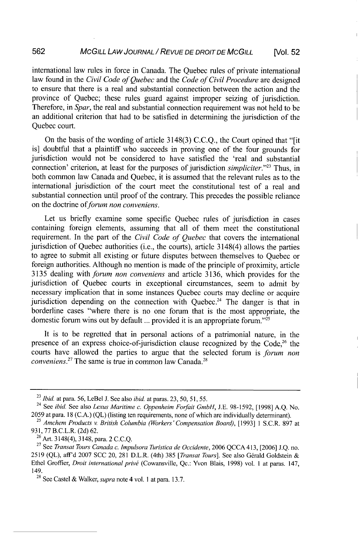international law rules in force in Canada. The Quebec rules of private international law found in the *Civil Code of Quebec* and the *Code of Civil Procedure* are designed to ensure that there is a real and substantial connection between the action and the province of Quebec; these rules guard against improper seizing of jurisdiction. Therefore, in *Spar,* the real and substantial connection requirement was not held to be an additional criterion that had to be satisfied in determining the jurisdiction of the Quebec court.

On the basis of the wording of article 3148(3) C.C.Q., the Court opined that "[it is] doubtful that a plaintiff who succeeds in proving one of the four grounds for jurisdiction would not be considered to have satisfied the 'real and substantial connection' criterion, at least for the purposes of jurisdiction *simpliciter."23* Thus, in both common law Canada and Quebec, it is assumed that the relevant rules as to the international jurisdiction of the court meet the constitutional test of a real and substantial connection until proof of the contrary. This precedes the possible reliance on the doctrine of *forum non conveniens*.

Let us briefly examine some specific Quebec rules of jurisdiction in cases containing foreign elements, assuming that all of them meet the constitutional requirement. In the part of the *Civil Code of Quebec* that covers the international jurisdiction of Quebec authorities (i.e., the courts), article 3148(4) allows the parties to agree to submit all existing or future disputes between themselves to Quebec or foreign authorities. Although no mention is made of the principle of proximity, article 3135 dealing with forum *non conveniens* and article 3136, which provides for the jurisdiction of Quebec courts in exceptional circumstances, seem to admit by necessary implication that in some instances Quebec courts may decline or acquire jurisdiction depending on the connection with Quebec.<sup>24</sup> The danger is that in borderline cases "where there is no one forum that is the most appropriate, the domestic forum wins out by default ... provided it is an appropriate forum."'25

It is to be regretted that in personal actions of a patrimonial nature, in the presence of an express choice-of-jurisdiction clause recognized by the Code,<sup>26</sup> the courts have allowed the parties to argue that the selected forum is *forum non conveniens.<sup>27</sup>* The same is true in common law Canada.<sup>28</sup>

<sup>23</sup>*ibid.* at para. 56, LeBel J. See also *ibid.* at paras. 23, 50, 51, *55.*

<sup>24</sup> See *ibid.* See also *Lexus Maritime c. Oppenheim Forfait GmbH,* J.E. 98-1592, [1998] A.Q. No. 2059 at para. 18 (C.A.) (QL) (listing ten requirements, none of which are individually determinant). <sup>25</sup>*Amchem Products v. British Columbia (Workers'Compensation Board),* [1993] 1 S.C.R. 897 at

**<sup>931,</sup>** 77 B.C.L.R. (2d) 62. 26 Art. 3148(4), 3148, para. 2 C.C.Q. 27 See *Transat Tours Canada c. Impulsora Turistica de Occidente,* 2006 QCCA 413, [2006] J.Q. no.

<sup>2519 (</sup>QL), aff'd 2007 SCC 20, 281 D.L.R. (4th) 385 [Transat Tours]. See also Gérald Goldstein & Ethel Groffier, *Droit international privý* (Cowansville, Qc.: Yvon Blais, 1998) vol. 1 at paras. 147, 149. 28 See Castel & Walker, *supra* note 4 vol. 1 at para. 13.7.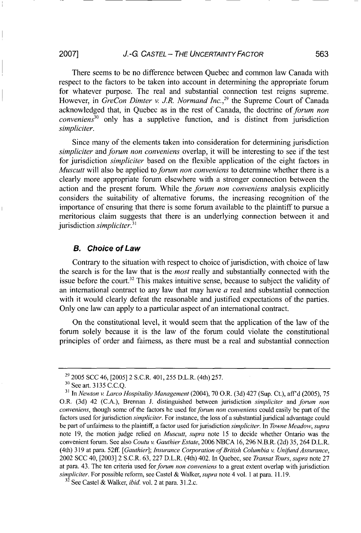There seems to be no difference between Quebec and common law Canada with respect to the factors to be taken into account in determining the appropriate forum for whatever purpose. The real and substantial connection test reigns supreme. However, in *GreCon Dimter v. J.R. Normand Inc.*,<sup>29</sup> the Supreme Court of Canada acknowledged that, in Quebec as in the rest of Canada, the doctrine of *forum non conveniens"* only has a suppletive function, and is distinct from jurisdiction *simpliciter.*

Since many of the elements taken into consideration for determining jurisdiction *simpliciter* and *forum non conveniens* overlap, it will be interesting to see if the test for jurisdiction *simpliciter* based on the flexible application of the eight factors in *Muscutt* will also be applied to *forum non conveniens* to determine whether there is a clearly more appropriate forum elsewhere with a stronger connection between the action and the present forum. While the *forum non conveniens* analysis explicitly considers the suitability of alternative forums, the increasing recognition of the importance of ensuring that there is some forum available to the plaintiff to pursue a meritorious claim suggests that there is an underlying connection between it and jurisdiction *simpliciter.31*

#### *B. Choice of Law*

Contrary to the situation with respect to choice of jurisdiction, with choice of law the search is for the law that is the *most* really and substantially connected with the issue before the court.<sup>32</sup> This makes intuitive sense, because to subject the validity of an international contract to any law that may have  $a$  real and substantial connection with it would clearly defeat the reasonable and justified expectations of the parties. Only one law can apply to a particular aspect of an international contract.

On the constitutional level, it would seem that the application of the law of the forum solely because it is the law of the forum could violate the constitutional principles of order and fairness, as there must be a real and substantial connection

<sup>29 2005</sup> SCC 46, [2005] 2 S.C.R. 401, 255 D.L.R. (4th) 257.

**<sup>3</sup>')** See art. 3135 C.C.Q.

**<sup>31</sup>**In *Newton v. Larco Hospitality Management* (2004), 70 O.R. (3d) 427 (Sup. Ct.), aff'd (2005), 75 O.R. (3d) 42 (C.A.), Brennan J. distinguished between jurisdiction *simpliciter* and *forum non conveniens,* though some of the factors he used for forum non *conveniens* could easily be part of the factors used for jurisdiction *simpliciter.* For instance, the loss of a substantial juridical advantage could be part of unfairness to the plaintiff, a factor used for jurisdiction *simpliciter.* In *Towne Meadow, supra* note 19, the motion judge relied on *Muscutt, supra* note 15 to decide whether Ontario was the convenient forum. See also *Coutu v. Gauthier Estate,* 2006 NBCA 16, 296 N.B.R. (2d) 35, 264 D.L.R. (4th) 319 at para. 52ff *[Gauthier]; Insurance Corporation of British Columbia v. Unifund Assurance,* 2002 SCC 40, [2003] 2 S.C.R. 63, 227 D.L.R. (4th) 402. In Quebec, see *Transat Tours, supra* note 27 at para. 43. The ten criteria used for *forum non conveniens* to a great extent overlap with jurisdiction *simpliciter.* For possible reform, see Castel & Walker, *supra* note 4 vol. 1 at para. 11.19.

<sup>32</sup> See Castel & Walker, *ibid.* vol. 2 at para. 31.2.c.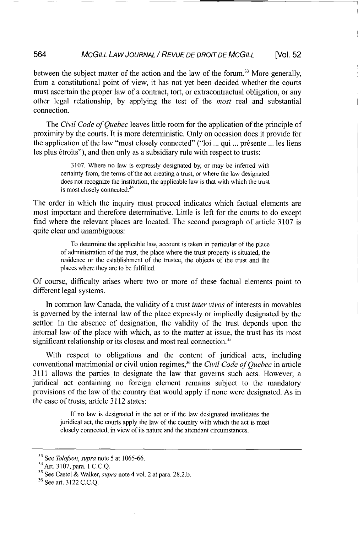between the subject matter of the action and the law of the forum.<sup>33</sup> More generally, from a constitutional point of view, it has not yet been decided whether the courts must ascertain the proper law of a contract, tort, or extracontractual obligation, or any other legal relationship, by applying the test of the *most* real and substantial connection.

The *Civil Code of Quebec* leaves little room for the application of the principle of proximity by the courts. It is more deterministic. Only on occasion does it provide for the application of the law "most closely connected" ("loi ... qui ... présente ... les liens les plus étroits"), and then only as a subsidiary rule with respect to trusts:

> 3107. Where no law is expressly designated by, or may **be** inferred with certainty from, the terms of the act creating a trust, or where the law designated does not recognize the institution, the applicable law is that with which the trust is most closely connected.<sup>34</sup>

The order in which the inquiry must proceed indicates which factual elements are most important and therefore determinative. Little is left for the courts to do except find where the relevant places are located. The second paragraph of article 3107 is quite clear and unambiguous:

To determine the applicable law, account is taken in particular of the place of administration of the trust, the place where the trust property is situated, the residence or the establishment of the trustee, the objects of the trust and the places where they are to be fulfilled.

Of course, difficulty arises where two or more of these factual elements point to different legal systems.

In common law Canada, the validity of a trust *inter vivos* of interests in movables is governed by the internal law of the place expressly or impliedly designated by the settlor. In the absence of designation, the validity of the trust depends upon the internal law of the place with which, as to the matter at issue, the trust has its most significant relationship or its closest and most real connection.<sup>35</sup>

With respect to obligations and the content of juridical acts, including conventional matrimonial or civil union regimes,<sup>36</sup> the *Civil Code of Quebec* in article 3111 allows the parties to designate the law that governs such acts. However, a juridical act containing no foreign element remains subject to the mandatory provisions of the law of the country that would apply if none were designated. As in the case of trusts, article 3112 states:

> If no law is designated in the act or if the law designated invalidates the juridical act, the courts apply the law of the country with which the act is most closely connected, in view of its nature and the attendant circumstances.

**<sup>33</sup>**See *Tolofson, supra* note 5 at 1065-66,

<sup>34</sup>Art. 3107, para. 1 C.C.Q.

**<sup>35</sup>**See Castel & Walker, *supra* note 4 vol. 2 at para. 28.2.b.

**<sup>36</sup>**See art. 3122 C.C.Q.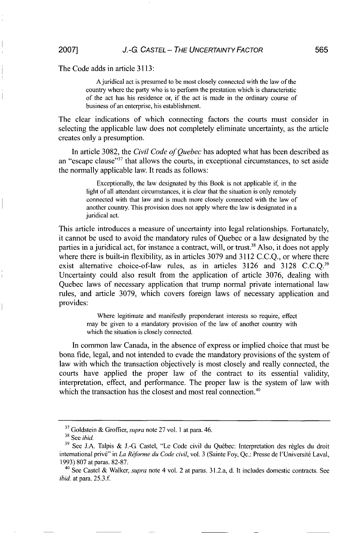The Code adds in article 3113:

Ajuridical act is presumed to be most closely connected with the law of the country where the party who is to perform the prestation which is characteristic of the act has his residence or, if the act is made in the ordinary course of business of an enterprise, his establishment.

The clear indications of which connecting factors the courts must consider in selecting the applicable law does not completely eliminate uncertainty, as the article creates only a presumption.

In article 3082, the *Civil Code of Quebec* has adopted what has been described as an "escape clause"<sup>37</sup> that allows the courts, in exceptional circumstances, to set aside the normally applicable law. It reads as follows:

Exceptionally, the law designated by this Book is not applicable if, in the light of all attendant circumstances, it is clear that the situation is only remotely connected with that law and is much more closely connected with the law of another country. This provision does not apply where the law is designated in a juridical act.

This article introduces a measure of uncertainty into legal relationships. Fortunately, it cannot be used to avoid the mandatory rules of Quebec or a law designated by the parties in a juridical act, for instance a contract, will, or trust.<sup>38</sup> Also, it does not apply where there is built-in flexibility, as in articles 3079 and 3112 C.C.O., or where there exist alternative choice-of-law rules, as in articles 3126 and 3128 C.C.Q.<sup>39</sup> Uncertainty could also result from the application of article 3076, dealing with Quebec laws of necessary application that trump normal private international law rules, and article 3079, which covers foreign laws of necessary application and provides:

> Where legitimate and manifestly preponderant interests so require, effect may be given to a mandatory provision of the law of another country with which the situation is closely connected.

In common law Canada, in the absence of express or implied choice that must be bona fide, legal, and not intended to evade the mandatory provisions of the system of law with which the transaction objectively is most closely and really connected, the courts have applied the proper law of the contract to its essential validity, interpretation, effect, and performance. The proper law is the system of law with which the transaction has the closest and most real connection.<sup>4</sup>

**<sup>37</sup>**Goldstein & Groffier, *supra* note 27 vol. 1 at para. 46.

<sup>&</sup>lt;sup>38</sup> See *ibid*.

<sup>&</sup>lt;sup>39</sup> See J.A. Talpis & J.-G. Castel, "Le Code civil du Québec: Interpretation des règles du droit international privé" in *La Réforme du Code civil*, vol. 3 (Sainte Foy, Qc.: Presse de l'Université Laval, 1993) 807 at paras. 82-87.

<sup>40</sup> See Castel & Walker, *supra* note 4 vol. 2 at paras. 31.2.a, d. It includes domestic contracts. See *ibid.* at para. 25.3.f.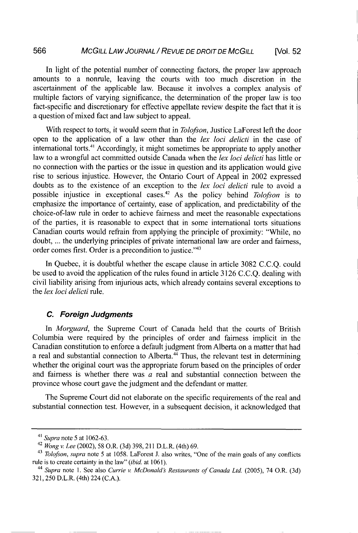In light of the potential number of connecting factors, the proper law approach amounts to a nonrule, leaving the courts with too much discretion in the ascertainment of the applicable law. Because it involves a complex analysis of multiple factors of varying significance, the determination of the proper law is too fact-specific and discretionary for effective appellate review despite the fact that it is a question of mixed fact and law subject to appeal.

With respect to torts, it would seem that in *Tolofson,* Justice LaForest left the door open to the application of a law other than the *lex loci delicti* in the case of international torts.<sup>41</sup> Accordingly, it might sometimes be appropriate to apply another law to a wrongful act committed outside Canada when the *lex loci delicti* has little or no connection with the parties or the issue in question and its application would give rise to serious injustice. However, the Ontario Court of Appeal in 2002 expressed doubts as to the existence of an exception to the *lex loci delicti* rule to avoid a possible injustice in exceptional cases. 2 As the policy behind *Tolofson* is to emphasize the importance of certainty, ease of application, and predictability of the choice-of-law rule in order to achieve fairness and meet the reasonable expectations of the parties, it is reasonable to expect that in some international torts situations Canadian courts would refrain from applying the principle of proximity: "While, no doubt, ... the underlying principles of private international law are order and fairness, order comes first. Order is a precondition to justice."43

In Quebec, it is doubtful whether the escape clause in article 3082 C.C.Q. could be used to avoid the application of the rules found in article 3126 C.C.Q. dealing with civil liability arising from injurious acts, which already contains several exceptions to the *lex loci delicti* rule.

#### *C. Foreign Judgments*

In *Morguard,* the Supreme Court of Canada held that the courts of British Columbia were required by the principles of order and fairness implicit in the Canadian constitution to enforce a default judgment from Alberta on a matter that had a real and substantial connection to Alberta. $4\overline{4}$  Thus, the relevant test in determining whether the original court was the appropriate forum based on the principles of order and fairness is whether there was  $a$  real and substantial connection between the province whose court gave the judgment and the defendant or matter.

The Supreme Court did not elaborate on the specific requirements of the real and substantial connection test. However, in a subsequent decision, it acknowledged that

<sup>41</sup>*Supra* note **5** at 1062-63.

<sup>42</sup>*Wong v. Lee* (2002), 58 O.R. (3d) 398, 211 D.L.R. (4th) 69.

<sup>&</sup>lt;sup>43</sup> Tolofson, supra note 5 at 1058. LaForest J. also writes, "One of the main goals of any conflicts rule is to create certainty in the law" *(ibid.* at 1061).

<sup>&</sup>lt;sup>44</sup> *Supra* note 1. See also *Currie v. McDonald's Restaurants of Canada Ltd.* (2005), 74 O.R. (3d) 321, 250 D.L.R. (4th) 224 (C.A.).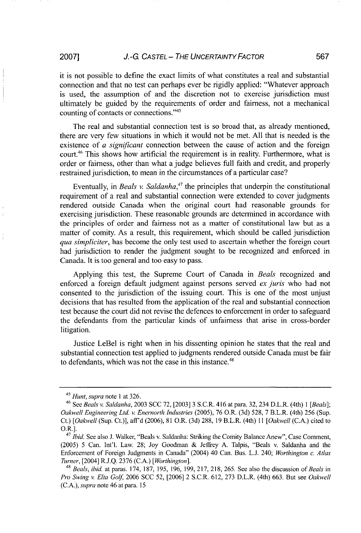### *J.-G CAsTEL - THE UNCERTAINTY FACTOR* **2007] 567**

it is not possible to define the exact limits of what constitutes a real and substantial connection and that no test can perhaps ever be rigidly applied: "Whatever approach is used, the assumption of and the discretion not to exercise jurisdiction must ultimately be guided by the requirements of order and fairness, not a mechanical counting of contacts or connections."'<sup>45</sup>

The real and substantial connection test is so broad that, as already mentioned, there are very few situations in which it would not be met. All that is needed is the existence of a *significant* connection between the cause of action and the foreign court.<sup>46</sup> This shows how artificial the requirement is in reality. Furthermore, what is order or fairness, other than what a judge believes full faith and credit, and properly restrained jurisdiction, to mean in the circumstances of a particular case?

Eventually, in *Beals v. Saldanha*<sup>47</sup> the principles that underpin the constitutional requirement of a real and substantial connection were extended to cover judgments rendered outside Canada when the original court had reasonable grounds for exercising jurisdiction. These reasonable grounds are determined in accordance with the principles of order and fairness not as a matter of constitutional law but as a matter of comity. As a result, this requirement, which should be called jurisdiction *qua simpliciter,* has become the only test used to ascertain whether the foreign court had jurisdiction to render the judgment sought to be recognized and enforced in Canada. It is too general and too easy to pass.

Applying this test, the Supreme Court of Canada in *Beals* recognized and enforced a foreign default judgment against persons served *ex juris* who had not consented to the jurisdiction of the issuing court. This is one of the most unjust decisions that has resulted from the application of the real and substantial connection test because the court did not revise the defences to enforcement in order to safeguard the defendants from the particular kinds of unfairness that arise in cross-border litigation.

Justice LeBel is right when in his dissenting opinion he states that the real and substantial connection test applied to judgments rendered outside Canada must be fair to defendants, which was not the case in this instance.<sup>48</sup>

<sup>45</sup>*Hunt, supra* note **I** at 326. 46 See *Beals v. Saldanha,* 2003 SCC 72, [2003] 3 S.C.R. 416 at para. 32, 234 D.L.R. (4th) 1 *[Beals]; Oakwell Engineering Ltd. v. Enernorth Industries* (2005), 76 O.R. (3d) 528, 7 B.L.R. (4th) 256 (Sup. Ct.) *[Oakwell* (Sup. Ct.)], aff'd (2006), 81 O.R. (3d) 288, 19 B.L.R. (4th) *II [Oakwell* (C.A.) cited to O.R.].

<sup>&</sup>lt;sup>47</sup> *Ibid.* See also J. Walker, "Beals v. Saldanha: Striking the Comity Balance Anew", Case Comment, (2005) 5 Can. Int'l. Law. 28; Joy Goodman & Jeffrey A. Talpis, "Beals v. Saldanha and the Enforcement of Foreign Judgments in Canada" (2004) 40 Can. Bus. **L.J.** 240; *Worthington c. Atlas Turner,* [2004] R.J.Q. 2376 (C.A.) *[Worthington].*

<sup>48</sup>*Beals, ibid.* at paras. 174, 187, 195, 196, 199, 217, 218, 265. See also the discussion of *Beals* in *Pro Swing v. Elta* Golf 2006 SCC 52, [2006] 2 S.C.R. 612, 273 D.L.R. (4th) 663. But see *Oakwell* (C.A.), *supra* note 46 at para. 15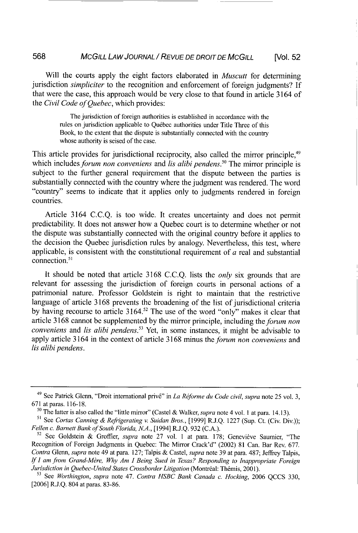Will the courts apply the eight factors elaborated in *Muscutt* for determining jurisdiction *simpliciter* to the recognition and enforcement of foreign judgments? If that were the case, this approach would be very close to that found in article 3164 of the *Civil Code of Quebec,* which provides:

The jurisdiction of foreign authorities is established in accordance with the rules on jurisdiction applicable to Québec authorities under Title Three of this Book, to the extent that the dispute is substantially connected with the country whose authority is seised of the case.

This article provides for jurisdictional reciprocity, also called the mirror principle.<sup>49</sup> which includes *forum non conveniens* and *lis alibi pendens*.<sup>50</sup> The mirror principle is subject to the further general requirement that the dispute between the parties is substantially connected with the country where the judgment was rendered. The word "country" seems to indicate that it applies only to judgments rendered in foreign countries.

Article 3164 C.C.Q. is too wide. It creates uncertainty and does not permit predictability. It does not answer how a Quebec court is to determine whether or not the dispute was substantially connected with the original country before it applies to the decision the Quebec jurisdiction rules by analogy. Nevertheless, this test, where applicable, is consistent with the constitutional requirement of *a* real and substantial connection.<sup>51</sup>

It should be noted that article 3168 C.C.Q. lists the *only* six grounds that are relevant for assessing the jurisdiction of foreign courts in personal actions of a patrimonial nature. Professor Goldstein is right to maintain that the restrictive language of article 3168 prevents the broadening of the list of jurisdictional criteria by having recourse to article 3164.<sup>52</sup> The use of the word "only" makes it clear that article 3168 cannot be supplemented by the mirror principle, including the *forum non conveniens* and *lis alibi pendens.53* Yet, in some instances, it might be advisable to apply article 3164 in the context of article 3168 minus the *forum non conveniens* and *lis alibi pendens.*

<sup>&</sup>lt;sup>49</sup> See Patrick Glenn, "Droit international privé" in *La Réforme du Code civil, supra* note 25 vol. 3, 671 at paras. 116-18.

**<sup>50</sup>**The latter is also called the "little mirror" (Castel & Walker, *supra* note 4 vol. 1 at para. 14.13).

**<sup>51</sup>**See *Cortas Canning & Refrigerating v. Suidan Bros.,* [1999] R.J.Q. 1227 (Sup. Ct. (Civ. Div.)); *Fellen c. Barnett Bank of South Florida, N.A.*, [1994] R.J.Q. 932 (C.A.).<br><sup>52</sup> See Goldstein & Groffier, *supra* note 27 vol. 1 at para. 178; Genevieve Saumier, "The

Recognition of Foreign Judgments in Quebec: The Mirror Crack'd" (2002) 81 Can. Bar Rev. 677. *Contra* Glenn, *supra* note 49 at para. 127; Talpis & Castel, *supra* note 39 at para. 487; Jeffrey Talpis, *If I am from Grand-M6re, Why Am I Being Sued in Texas? Responding to Inappropriate Foreign Jurisdiction in Quebec-United States Crossborder Litigation (Montréal: Thémis, 2001).* <sup>53</sup> See *Worthington, supra* note 47. *Contra HSBC Bank Canada c. Hocking, 2006 QCCS 330,* 

<sup>[2006]</sup> R.J.Q. 804 at paras. 83-86.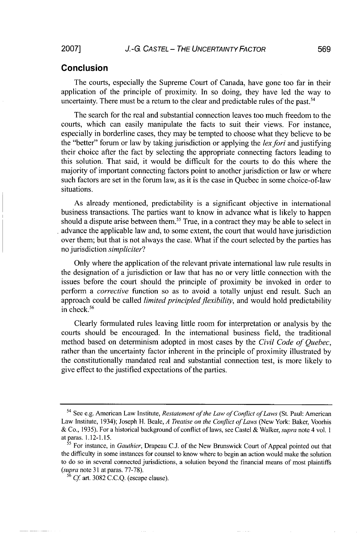#### Conclusion

The courts, especially the Supreme Court of Canada, have gone too far in their application of the principle of proximity. In so doing, they have led the way to uncertainty. There must be a return to the clear and predictable rules of the past.<sup>54</sup>

The search for the real and substantial connection leaves too much freedom to the courts, which can easily manipulate the facts to suit their views. For instance, especially in borderline cases, they may be tempted to choose what they believe to be the "better" forum or law by taking jurisdiction or applying the *lexfori* and justifying their choice after the fact by selecting the appropriate connecting factors leading to this solution. That said, it would be difficult for the courts to do this where the majority of important connecting factors point to another jurisdiction or law or where such factors are set in the forum law, as it is the case in Quebec in some choice-of-law situations.

As already mentioned, predictability is a significant objective in international business transactions. The parties want to know in advance what is likely to happen should a dispute arise between them.<sup>55</sup> True, in a contract they may be able to select in advance the applicable law and, to some extent, the court that would have jurisdiction over them; but that is not always the case. What if the court selected by the parties has no jurisdiction *simpliciter?*

Only where the application of the relevant private international law rule results in the designation of a jurisdiction or law that has no or very little connection with the issues before the court should the principle of proximity be invoked in order to perform a *corrective* function so as to avoid a totally unjust end result. Such an approach could be called *limited principled flexibility,* and would hold predictability in check.56

Clearly formulated rules leaving little room for interpretation or analysis by the courts should be encouraged. In the international business field, the traditional method based on determinism adopted in most cases by the *Civil Code of Quebec,* rather than the uncertainty factor inherent in the principle of proximity illustrated by the constitutionally mandated real and substantial connection test, is more likely to give effect to the justified expectations of the parties.

<sup>54</sup> See e.g. American Law Institute, *Restatement of the Law of Conflict of Laws* (St. Paul: American Law Institute, 1934); Joseph H. Beale, *A Treatise on the Conflict of Laws* (New York: Baker, Voorhis & Co., 1935). For a historical background of conflict of laws, see Castel & Walker, *supra* note 4 vol. 1 at paras. 1.12-1.15.

**<sup>55</sup>**For instance, in *Gauthier,* Drapeau C.J. of the New Brunswick Court of Appeal pointed out that the difficulty in some instances for counsel to know where to begin an action would make the solution to do so in several connected jurisdictions, a solution beyond the financial means of most plaintiffs *(supra* note 31 at paras. 77-78).

 $56$  *Cf.* art. 3082 C.C.O. (escape clause).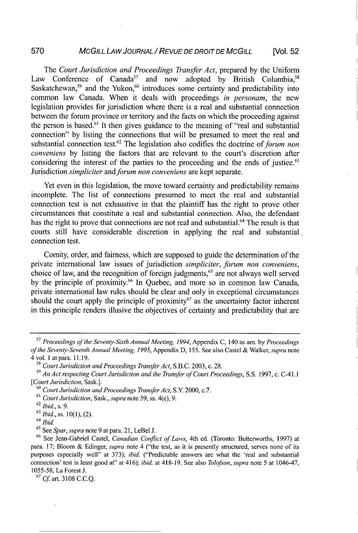# *MCGILL LA W JOURNAL* / *REVUE DE DROIT DE MCGILL* **570** [Vol. **52**

The *Court Jurisdiction and Proceedings Transfer Act,* prepared by the Uniform Law Conference of Canada<sup>57</sup> and now adopted by British Columbia,<sup>58</sup> Saskatchewan,<sup>59</sup> and the Yukon,<sup>60</sup> introduces some certainty and predictability into common law Canada. When it deals with proceedings *in personam,* the new legislation provides for jurisdiction where there is a real and substantial connection between the forum province or territory and the facts on which the proceeding against the person is based.<sup>61</sup> It then gives guidance to the meaning of "real and substantial connection" by listing the connections that will be presumed to meet the real and substantial connection test.62 The legislation also codifies the doctrine of *forum non conveniens* by listing the factors that are relevant to the court's discretion after considering the interest of the parties to the proceeding and the ends of justice.<sup>63</sup> Jurisdiction *simpliciter* and *forum non conveniens* are kept separate.

Yet even in this legislation, the move toward certainty and predictability remains incomplete. The list of connections presumed to meet the real and substantial connection test is not exhaustive in that the plaintiff has the right to prove other circumstances that constitute a real and substantial connection. Also, the defendant has the right to prove that connections are not real and substantial.<sup>64</sup> The result is that courts still have considerable discretion in applying the real and substantial connection test.

Comity, order, and fairness, which are supposed to guide the determination of the private international law issues of jurisdiction *simpliciter, forum non conveniens,* choice of law, and the recognition of foreign judgments,<sup>65</sup> are not always well served by the principle of proximity.<sup>66</sup> In Quebec, and more so in common law Canada, private international law rules should be clear and only in exceptional circumstances should the court apply the principle of proximity<sup>67</sup> as the uncertainty factor inherent in this principle renders illusive the objectives of certainty and predictability that are

<sup>67</sup>*Cf* art. 3108 C.C.Q.

*<sup>57</sup>Proceedings of the Seventy-Sixth Annual Meeting, 1994,* Appendix C, 140 as am. by *Proceedings of the Seventy-Seventh Annual Meeting, 1995,* Appendix D, 155. See also Castel & Walker, *supra* note 4 vol. 1 at para. 11.19.

*<sup>59</sup>Court Jurisdiction and Proceedings Transfer Act,* S.B.C. 2003, c. 28.

*<sup>59</sup>An Act respecting Court Jurisdiction and the Transfer of Court Proceedings,* **S.S.** 1997, c. C-41.1 *[Court Jurisdiction,* Sask.].

**<sup>60</sup>***Court Jurisdiction and Proceedings Transfer Act,* S.Y 2000, c.7.

**<sup>61</sup>***Court Jurisdiction,* Sask., *supra* note 59, ss. 4(e), 9.

<sup>62</sup>*Ibid.,* s. 9.

 $63$  *Ibid.*, ss. 10(1), (2).

<sup>64</sup>*Ibid.*

<sup>65</sup> See *Spar, supra* note 9 at para. 21, LeBel J.

<sup>66</sup> See Jean-Gabriel Castel, *Canadian Conflict of Laws,* 4th ed. (Toronto: Butterworths, 1997) at para. 17; Bloom & Edinger, *supra* note 4 ("the test, as it is presently structured, serves none of its purposes especially well" at 373); *ibid.* ("Predictable answers are what the 'real and substantial connection' test is least good at" at 416); *ibid.* at 418-19. See also *Tolofson, supra* note 5 at 1046-47, 1055-58, La Forest J.